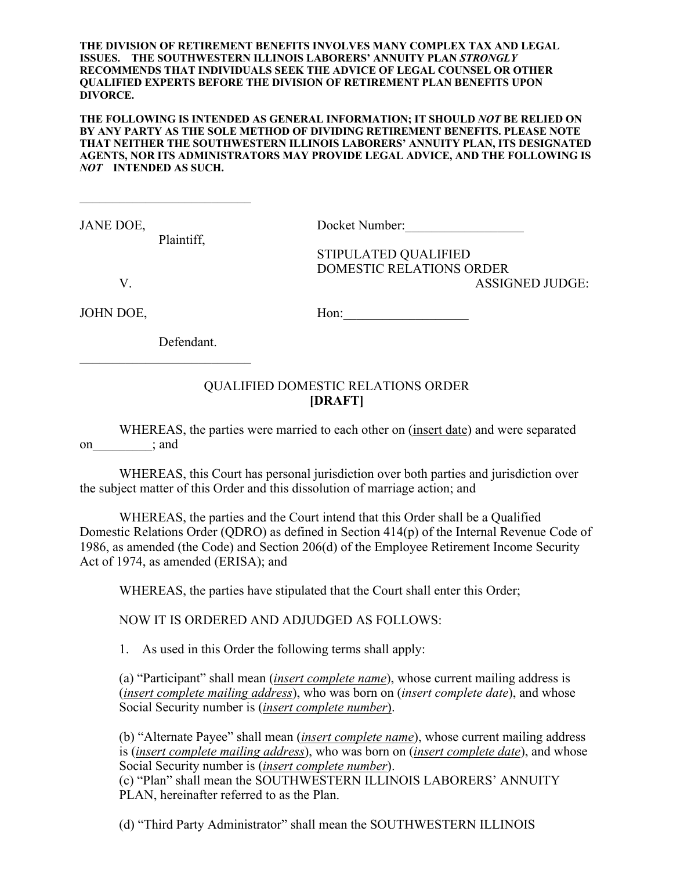**THE DIVISION OF RETIREMENT BENEFITS INVOLVES MANY COMPLEX TAX AND LEGAL ISSUES. THE SOUTHWESTERN ILLINOIS LABORERS' ANNUITY PLAN** *STRONGLY*  **RECOMMENDS THAT INDIVIDUALS SEEK THE ADVICE OF LEGAL COUNSEL OR OTHER QUALIFIED EXPERTS BEFORE THE DIVISION OF RETIREMENT PLAN BENEFITS UPON DIVORCE.**

**THE FOLLOWING IS INTENDED AS GENERAL INFORMATION; IT SHOULD** *NOT* **BE RELIED ON BY ANY PARTY AS THE SOLE METHOD OF DIVIDING RETIREMENT BENEFITS. PLEASE NOTE THAT NEITHER THE SOUTHWESTERN ILLINOIS LABORERS' ANNUITY PLAN, ITS DESIGNATED AGENTS, NOR ITS ADMINISTRATORS MAY PROVIDE LEGAL ADVICE, AND THE FOLLOWING IS**  *NOT* **INTENDED AS SUCH.**

Plaintiff,

JANE DOE, Docket Number:

STIPULATED QUALIFIED DOMESTIC RELATIONS ORDER V. ASSIGNED JUDGE:

JOHN DOE, Hon:\_\_\_\_\_\_\_\_\_\_\_\_\_\_\_\_\_\_\_

Defendant.

## QUALIFIED DOMESTIC RELATIONS ORDER **[DRAFT]**

WHEREAS, the parties were married to each other on (insert date) and were separated on ; and

WHEREAS, this Court has personal jurisdiction over both parties and jurisdiction over the subject matter of this Order and this dissolution of marriage action; and

WHEREAS, the parties and the Court intend that this Order shall be a Qualified Domestic Relations Order (QDRO) as defined in Section 414(p) of the Internal Revenue Code of 1986, as amended (the Code) and Section 206(d) of the Employee Retirement Income Security Act of 1974, as amended (ERISA); and

WHEREAS, the parties have stipulated that the Court shall enter this Order;

NOW IT IS ORDERED AND ADJUDGED AS FOLLOWS:

1. As used in this Order the following terms shall apply:

(a) "Participant" shall mean (*insert complete name*), whose current mailing address is (*insert complete mailing address*), who was born on (*insert complete date*), and whose Social Security number is (*insert complete number*).

(b) "Alternate Payee" shall mean (*insert complete name*), whose current mailing address is (*insert complete mailing address*), who was born on (*insert complete date*), and whose Social Security number is (*insert complete number*).

(c) "Plan" shall mean the SOUTHWESTERN ILLINOIS LABORERS' ANNUITY PLAN, hereinafter referred to as the Plan.

(d) "Third Party Administrator" shall mean the SOUTHWESTERN ILLINOIS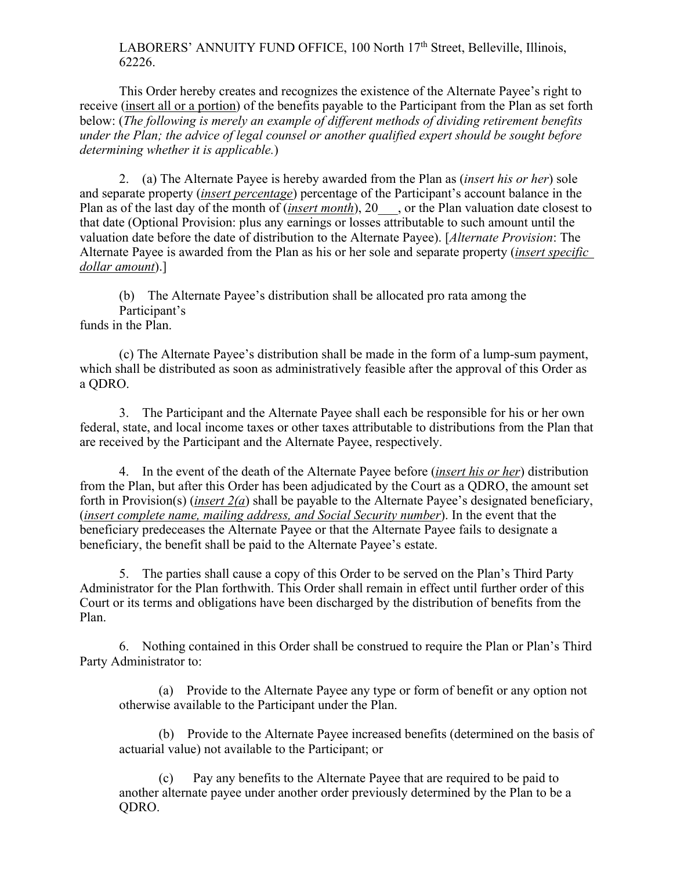LABORERS' ANNUITY FUND OFFICE, 100 North 17th Street, Belleville, Illinois, 62226.

This Order hereby creates and recognizes the existence of the Alternate Payee's right to receive (insert all or a portion) of the benefits payable to the Participant from the Plan as set forth below: (*The following is merely an example of different methods of dividing retirement benefits under the Plan; the advice of legal counsel or another qualified expert should be sought before determining whether it is applicable.*)

2. (a) The Alternate Payee is hereby awarded from the Plan as (*insert his or her*) sole and separate property (*insert percentage*) percentage of the Participant's account balance in the Plan as of the last day of the month of *(insert month*), 20 , or the Plan valuation date closest to that date (Optional Provision: plus any earnings or losses attributable to such amount until the valuation date before the date of distribution to the Alternate Payee). [*Alternate Provision*: The Alternate Payee is awarded from the Plan as his or her sole and separate property (*insert specific dollar amount*).]

(b) The Alternate Payee's distribution shall be allocated pro rata among the Participant's

funds in the Plan.

(c) The Alternate Payee's distribution shall be made in the form of a lump-sum payment, which shall be distributed as soon as administratively feasible after the approval of this Order as a QDRO.

3. The Participant and the Alternate Payee shall each be responsible for his or her own federal, state, and local income taxes or other taxes attributable to distributions from the Plan that are received by the Participant and the Alternate Payee, respectively.

4. In the event of the death of the Alternate Payee before (*insert his or her*) distribution from the Plan, but after this Order has been adjudicated by the Court as a QDRO, the amount set forth in Provision(s) (*insert 2(a*) shall be payable to the Alternate Payee's designated beneficiary, (*insert complete name, mailing address, and Social Security number*). In the event that the beneficiary predeceases the Alternate Payee or that the Alternate Payee fails to designate a beneficiary, the benefit shall be paid to the Alternate Payee's estate.

5. The parties shall cause a copy of this Order to be served on the Plan's Third Party Administrator for the Plan forthwith. This Order shall remain in effect until further order of this Court or its terms and obligations have been discharged by the distribution of benefits from the Plan.

6. Nothing contained in this Order shall be construed to require the Plan or Plan's Third Party Administrator to:

(a) Provide to the Alternate Payee any type or form of benefit or any option not otherwise available to the Participant under the Plan.

(b) Provide to the Alternate Payee increased benefits (determined on the basis of actuarial value) not available to the Participant; or

(c) Pay any benefits to the Alternate Payee that are required to be paid to another alternate payee under another order previously determined by the Plan to be a QDRO.